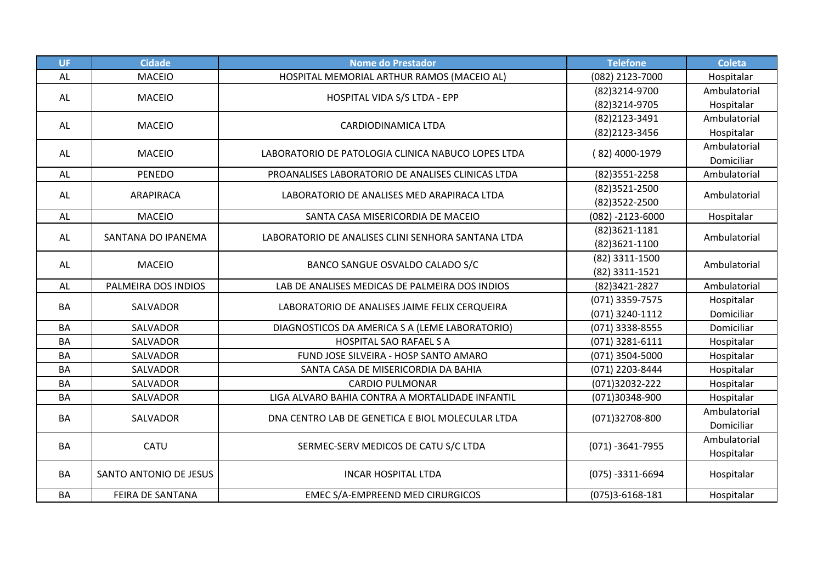| <b>UF</b> | <b>Cidade</b>          | <b>Nome do Prestador</b>                           | <b>Telefone</b>                                                                                                                                                                                                                                                                                              | <b>Coleta</b> |
|-----------|------------------------|----------------------------------------------------|--------------------------------------------------------------------------------------------------------------------------------------------------------------------------------------------------------------------------------------------------------------------------------------------------------------|---------------|
| AL        | <b>MACEIO</b>          | HOSPITAL MEMORIAL ARTHUR RAMOS (MACEIO AL)         | (082) 2123-7000                                                                                                                                                                                                                                                                                              | Hospitalar    |
| AL        | <b>MACEIO</b>          | HOSPITAL VIDA S/S LTDA - EPP                       | (82)3214-9700                                                                                                                                                                                                                                                                                                | Ambulatorial  |
|           |                        |                                                    | (82)3214-9705                                                                                                                                                                                                                                                                                                | Hospitalar    |
| AL        | <b>MACEIO</b>          | <b>CARDIODINAMICA LTDA</b>                         | (82)2123-3491                                                                                                                                                                                                                                                                                                | Ambulatorial  |
|           |                        |                                                    | (82) 2123 - 3456                                                                                                                                                                                                                                                                                             | Hospitalar    |
| AL        | <b>MACEIO</b>          | LABORATORIO DE PATOLOGIA CLINICA NABUCO LOPES LTDA |                                                                                                                                                                                                                                                                                                              | Ambulatorial  |
|           |                        |                                                    |                                                                                                                                                                                                                                                                                                              | Domiciliar    |
| AL        | <b>PENEDO</b>          | PROANALISES LABORATORIO DE ANALISES CLINICAS LTDA  | (82) 3551 - 2258                                                                                                                                                                                                                                                                                             | Ambulatorial  |
| AL        | ARAPIRACA              | LABORATORIO DE ANALISES MED ARAPIRACA LTDA         | (82) 3521 - 2500                                                                                                                                                                                                                                                                                             |               |
|           |                        |                                                    | (82) 3522-2500                                                                                                                                                                                                                                                                                               |               |
| AL        | <b>MACEIO</b>          | SANTA CASA MISERICORDIA DE MACEIO                  | $(082) - 2123 - 6000$                                                                                                                                                                                                                                                                                        | Hospitalar    |
| AL        | SANTANA DO IPANEMA     | LABORATORIO DE ANALISES CLINI SENHORA SANTANA LTDA | (82)3621-1181                                                                                                                                                                                                                                                                                                |               |
|           |                        |                                                    | (82) 4000-1979<br>Ambulatorial<br>Ambulatorial<br>(82)3621-1100<br>(82) 3311-1500<br>Ambulatorial<br>(82) 3311-1521<br>(82)3421-2827<br>(071) 3359-7575<br>(071) 3240-1112<br>(071) 3338-8555<br>(071) 3281-6111<br>(071) 3504-5000<br>(071) 2203-8444<br>(071)32032-222<br>(071)30348-900<br>(071)32708-800 |               |
| AL        | <b>MACEIO</b>          | BANCO SANGUE OSVALDO CALADO S/C                    |                                                                                                                                                                                                                                                                                                              |               |
|           |                        |                                                    |                                                                                                                                                                                                                                                                                                              |               |
| AL        | PALMEIRA DOS INDIOS    | LAB DE ANALISES MEDICAS DE PALMEIRA DOS INDIOS     |                                                                                                                                                                                                                                                                                                              | Ambulatorial  |
| BA        | SALVADOR               | LABORATORIO DE ANALISES JAIME FELIX CERQUEIRA      |                                                                                                                                                                                                                                                                                                              | Hospitalar    |
|           |                        |                                                    |                                                                                                                                                                                                                                                                                                              | Domiciliar    |
| <b>BA</b> | SALVADOR               | DIAGNOSTICOS DA AMERICA S A (LEME LABORATORIO)     |                                                                                                                                                                                                                                                                                                              | Domiciliar    |
| <b>BA</b> | SALVADOR               | <b>HOSPITAL SAO RAFAEL S A</b>                     |                                                                                                                                                                                                                                                                                                              | Hospitalar    |
| BA        | SALVADOR               | FUND JOSE SILVEIRA - HOSP SANTO AMARO              |                                                                                                                                                                                                                                                                                                              | Hospitalar    |
| <b>BA</b> | SALVADOR               | SANTA CASA DE MISERICORDIA DA BAHIA                |                                                                                                                                                                                                                                                                                                              | Hospitalar    |
| BA        | SALVADOR               | <b>CARDIO PULMONAR</b>                             |                                                                                                                                                                                                                                                                                                              | Hospitalar    |
| BA        | SALVADOR               | LIGA ALVARO BAHIA CONTRA A MORTALIDADE INFANTIL    |                                                                                                                                                                                                                                                                                                              | Hospitalar    |
| BA        | SALVADOR               | DNA CENTRO LAB DE GENETICA E BIOL MOLECULAR LTDA   |                                                                                                                                                                                                                                                                                                              | Ambulatorial  |
|           |                        |                                                    |                                                                                                                                                                                                                                                                                                              | Domiciliar    |
|           | CATU                   |                                                    |                                                                                                                                                                                                                                                                                                              | Ambulatorial  |
| BA        |                        | SERMEC-SERV MEDICOS DE CATU S/C LTDA               | $(071) - 3641 - 7955$                                                                                                                                                                                                                                                                                        | Hospitalar    |
| BA        | SANTO ANTONIO DE JESUS | <b>INCAR HOSPITAL LTDA</b>                         | $(075) - 3311 - 6694$                                                                                                                                                                                                                                                                                        | Hospitalar    |
|           |                        |                                                    |                                                                                                                                                                                                                                                                                                              |               |
| BA        | FEIRA DE SANTANA       | EMEC S/A-EMPREEND MED CIRURGICOS                   | $(075)3 - 6168 - 181$                                                                                                                                                                                                                                                                                        | Hospitalar    |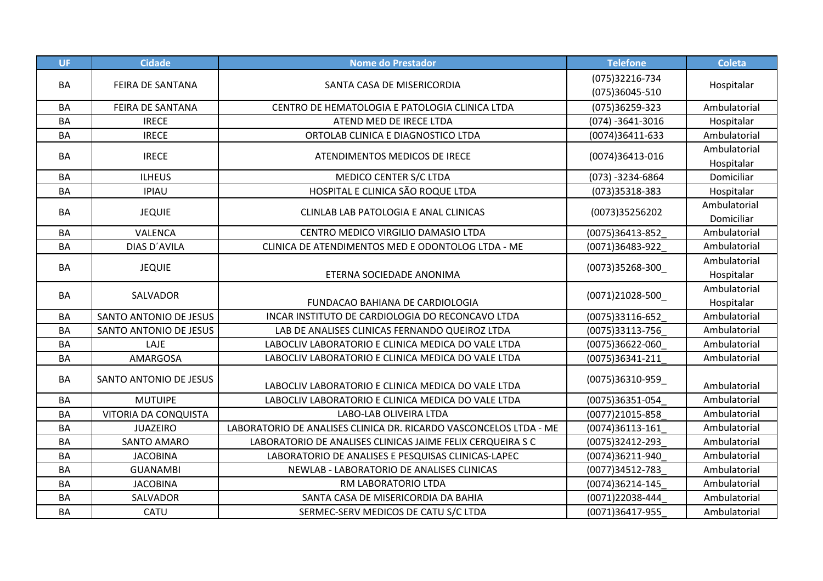| <b>UF</b> | <b>Cidade</b>           | <b>Nome do Prestador</b>                                          | <b>Telefone</b>                  | <b>Coleta</b>              |
|-----------|-------------------------|-------------------------------------------------------------------|----------------------------------|----------------------------|
| BA        | <b>FEIRA DE SANTANA</b> | SANTA CASA DE MISERICORDIA                                        | (075)32216-734<br>(075)36045-510 | Hospitalar                 |
| BA        | FEIRA DE SANTANA        | CENTRO DE HEMATOLOGIA E PATOLOGIA CLINICA LTDA                    | (075)36259-323                   | Ambulatorial               |
| BA        | <b>IRECE</b>            | ATEND MED DE IRECE LTDA                                           | $(074) - 3641 - 3016$            | Hospitalar                 |
| <b>BA</b> | <b>IRECE</b>            | ORTOLAB CLINICA E DIAGNOSTICO LTDA                                | (0074)36411-633                  | Ambulatorial               |
| <b>BA</b> | <b>IRECE</b>            | ATENDIMENTOS MEDICOS DE IRECE                                     | (0074)36413-016                  | Ambulatorial<br>Hospitalar |
| BA        | <b>ILHEUS</b>           | MEDICO CENTER S/C LTDA                                            | $(073) - 3234 - 6864$            | Domiciliar                 |
| <b>BA</b> | <b>IPIAU</b>            | HOSPITAL E CLINICA SÃO ROQUE LTDA                                 | (073)35318-383                   | Hospitalar                 |
| BA        | <b>JEQUIE</b>           | CLINLAB LAB PATOLOGIA E ANAL CLINICAS                             | (0073)35256202                   | Ambulatorial<br>Domiciliar |
| BA        | VALENCA                 | CENTRO MEDICO VIRGILIO DAMASIO LTDA                               | (0075)36413-852                  | Ambulatorial               |
| BA        | DIAS D'AVILA            | CLINICA DE ATENDIMENTOS MED E ODONTOLOG LTDA - ME                 | (0071)36483-922                  | Ambulatorial               |
| BA        | <b>JEQUIE</b>           | ETERNA SOCIEDADE ANONIMA                                          | $(0073)35268 - 300$              | Ambulatorial<br>Hospitalar |
| BA        | SALVADOR                | FUNDACAO BAHIANA DE CARDIOLOGIA                                   | (0071)21028-500                  | Ambulatorial<br>Hospitalar |
| <b>BA</b> | SANTO ANTONIO DE JESUS  | INCAR INSTITUTO DE CARDIOLOGIA DO RECONCAVO LTDA                  | (0075)33116-652                  | Ambulatorial               |
| BA        | SANTO ANTONIO DE JESUS  | LAB DE ANALISES CLINICAS FERNANDO QUEIROZ LTDA                    | (0075)33113-756                  | Ambulatorial               |
| <b>BA</b> | LAJE                    | LABOCLIV LABORATORIO E CLINICA MEDICA DO VALE LTDA                | (0075)36622-060                  | Ambulatorial               |
| <b>BA</b> | AMARGOSA                | LABOCLIV LABORATORIO E CLINICA MEDICA DO VALE LTDA                | (0075)36341-211                  | Ambulatorial               |
| BA        | SANTO ANTONIO DE JESUS  | LABOCLIV LABORATORIO E CLINICA MEDICA DO VALE LTDA                | (0075)36310-959                  | Ambulatorial               |
| <b>BA</b> | <b>MUTUIPE</b>          | LABOCLIV LABORATORIO E CLINICA MEDICA DO VALE LTDA                | (0075)36351-054                  | Ambulatorial               |
| BA        | VITORIA DA CONQUISTA    | LABO-LAB OLIVEIRA LTDA                                            | (0077)21015-858                  | Ambulatorial               |
| <b>BA</b> | <b>JUAZEIRO</b>         | LABORATORIO DE ANALISES CLINICA DR. RICARDO VASCONCELOS LTDA - ME | (0074)36113-161                  | Ambulatorial               |
| BA        | SANTO AMARO             | LABORATORIO DE ANALISES CLINICAS JAIME FELIX CERQUEIRA S C        | (0075)32412-293                  | Ambulatorial               |
| <b>BA</b> | <b>JACOBINA</b>         | LABORATORIO DE ANALISES E PESQUISAS CLINICAS-LAPEC                | (0074)36211-940                  | Ambulatorial               |
| BA        | <b>GUANAMBI</b>         | NEWLAB - LABORATORIO DE ANALISES CLINICAS                         | (0077)34512-783                  | Ambulatorial               |
| BA        | <b>JACOBINA</b>         | RM LABORATORIO LTDA                                               | (0074)36214-145                  | Ambulatorial               |
| BA        | SALVADOR                | SANTA CASA DE MISERICORDIA DA BAHIA                               | (0071)22038-444                  | Ambulatorial               |
| BA        | CATU                    | SERMEC-SERV MEDICOS DE CATU S/C LTDA                              | (0071)36417-955                  | Ambulatorial               |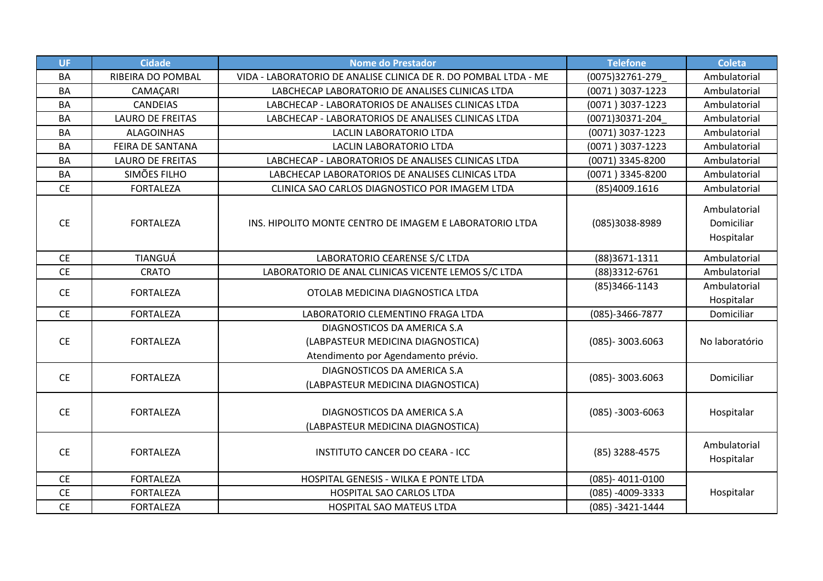| <b>UF</b>       | <b>Cidade</b>           | <b>Nome do Prestador</b>                                                                                | <b>Telefone</b>       | <b>Coleta</b>                            |
|-----------------|-------------------------|---------------------------------------------------------------------------------------------------------|-----------------------|------------------------------------------|
| <b>BA</b>       | RIBEIRA DO POMBAL       | VIDA - LABORATORIO DE ANALISE CLINICA DE R. DO POMBAL LTDA - ME                                         | (0075)32761-279       | Ambulatorial                             |
| <b>BA</b>       | CAMAÇARI                | LABCHECAP LABORATORIO DE ANALISES CLINICAS LTDA                                                         | (0071) 3037-1223      | Ambulatorial                             |
| <b>BA</b>       | <b>CANDEIAS</b>         | LABCHECAP - LABORATORIOS DE ANALISES CLINICAS LTDA                                                      | (0071) 3037-1223      | Ambulatorial                             |
| <b>BA</b>       | <b>LAURO DE FREITAS</b> | LABCHECAP - LABORATORIOS DE ANALISES CLINICAS LTDA                                                      | (0071)30371-204       | Ambulatorial                             |
| <b>BA</b>       | <b>ALAGOINHAS</b>       | <b>LACLIN LABORATORIO LTDA</b>                                                                          | (0071) 3037-1223      | Ambulatorial                             |
| <b>BA</b>       | FEIRA DE SANTANA        | LACLIN LABORATORIO LTDA                                                                                 | (0071) 3037-1223      | Ambulatorial                             |
| <b>BA</b>       | <b>LAURO DE FREITAS</b> | LABCHECAP - LABORATORIOS DE ANALISES CLINICAS LTDA                                                      | (0071) 3345-8200      | Ambulatorial                             |
| <b>BA</b>       | SIMÕES FILHO            | LABCHECAP LABORATORIOS DE ANALISES CLINICAS LTDA                                                        | (0071) 3345-8200      | Ambulatorial                             |
| <b>CE</b>       | <b>FORTALEZA</b>        | CLINICA SAO CARLOS DIAGNOSTICO POR IMAGEM LTDA                                                          | (85)4009.1616         | Ambulatorial                             |
| <b>CE</b>       | <b>FORTALEZA</b>        | INS. HIPOLITO MONTE CENTRO DE IMAGEM E LABORATORIO LTDA                                                 | (085)3038-8989        | Ambulatorial<br>Domiciliar<br>Hospitalar |
| <b>CE</b>       | TIANGUÁ                 | LABORATORIO CEARENSE S/C LTDA                                                                           | (88)3671-1311         | Ambulatorial                             |
| <b>CE</b>       | <b>CRATO</b>            | LABORATORIO DE ANAL CLINICAS VICENTE LEMOS S/C LTDA                                                     | (88)3312-6761         | Ambulatorial                             |
| <b>CE</b>       | <b>FORTALEZA</b>        | OTOLAB MEDICINA DIAGNOSTICA LTDA                                                                        | (85)3466-1143         | Ambulatorial<br>Hospitalar               |
| <b>CE</b>       | <b>FORTALEZA</b>        | LABORATORIO CLEMENTINO FRAGA LTDA                                                                       | (085)-3466-7877       | Domiciliar                               |
| <b>CE</b>       | <b>FORTALEZA</b>        | DIAGNOSTICOS DA AMERICA S.A<br>(LABPASTEUR MEDICINA DIAGNOSTICA)<br>Atendimento por Agendamento prévio. | $(085) - 3003.6063$   | No laboratório                           |
| <b>CE</b>       | <b>FORTALEZA</b>        | DIAGNOSTICOS DA AMERICA S.A<br>(LABPASTEUR MEDICINA DIAGNOSTICA)                                        | $(085) - 3003.6063$   | Domiciliar                               |
| <b>CE</b>       | <b>FORTALEZA</b>        | DIAGNOSTICOS DA AMERICA S.A<br>(LABPASTEUR MEDICINA DIAGNOSTICA)                                        | $(085) - 3003 - 6063$ | Hospitalar                               |
| <b>CE</b>       | <b>FORTALEZA</b>        | <b>INSTITUTO CANCER DO CEARA - ICC</b>                                                                  | (85) 3288-4575        | Ambulatorial<br>Hospitalar               |
| <b>CE</b>       | <b>FORTALEZA</b>        | HOSPITAL GENESIS - WILKA E PONTE LTDA                                                                   | (085)-4011-0100       |                                          |
| <b>CE</b>       | <b>FORTALEZA</b>        | HOSPITAL SAO CARLOS LTDA                                                                                | (085) -4009-3333      | Hospitalar                               |
| $\mathsf{CE}\,$ | <b>FORTALEZA</b>        | HOSPITAL SAO MATEUS LTDA                                                                                | $(085) - 3421 - 1444$ |                                          |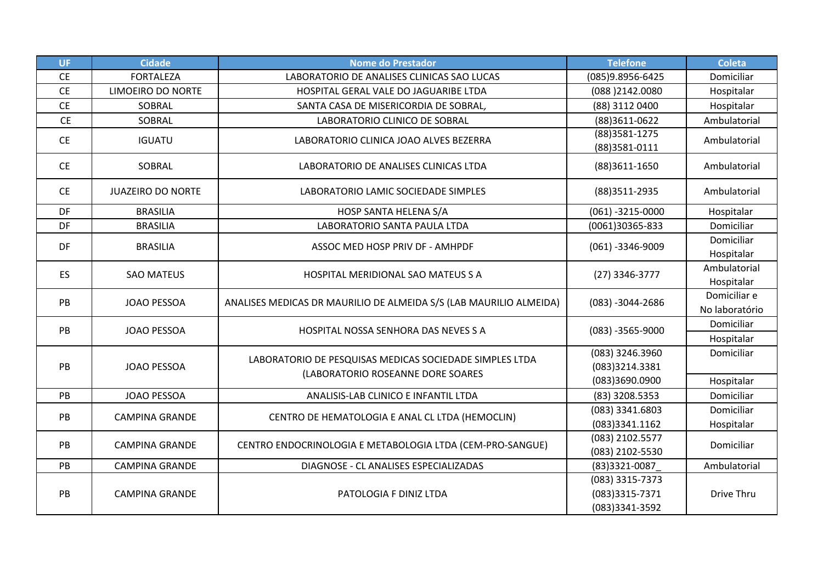| <b>UF</b>       | <b>Cidade</b>            | <b>Nome do Prestador</b>                                                                     | <b>Telefone</b>                                     | <b>Coleta</b>                  |
|-----------------|--------------------------|----------------------------------------------------------------------------------------------|-----------------------------------------------------|--------------------------------|
| $\mathsf{CE}\,$ | <b>FORTALEZA</b>         | LABORATORIO DE ANALISES CLINICAS SAO LUCAS                                                   | (085)9.8956-6425                                    | Domiciliar                     |
| <b>CE</b>       | LIMOEIRO DO NORTE        | HOSPITAL GERAL VALE DO JAGUARIBE LTDA                                                        | (088)2142.0080                                      | Hospitalar                     |
| <b>CE</b>       | SOBRAL                   | SANTA CASA DE MISERICORDIA DE SOBRAL,                                                        | (88) 3112 0400                                      | Hospitalar                     |
| <b>CE</b>       | SOBRAL                   | LABORATORIO CLINICO DE SOBRAL                                                                | (88)3611-0622                                       | Ambulatorial                   |
| <b>CE</b>       | <b>IGUATU</b>            | LABORATORIO CLINICA JOAO ALVES BEZERRA                                                       | $(88)3581 - 1275$<br>(88)3581-0111                  | Ambulatorial                   |
| <b>CE</b>       | SOBRAL                   | LABORATORIO DE ANALISES CLINICAS LTDA                                                        | (88)3611-1650                                       | Ambulatorial                   |
| <b>CE</b>       | <b>JUAZEIRO DO NORTE</b> | LABORATORIO LAMIC SOCIEDADE SIMPLES                                                          | (88) 3511-2935                                      | Ambulatorial                   |
| DF              | <b>BRASILIA</b>          | HOSP SANTA HELENA S/A                                                                        | $(061) - 3215 - 0000$                               | Hospitalar                     |
| DF              | <b>BRASILIA</b>          | LABORATORIO SANTA PAULA LTDA                                                                 | (0061)30365-833                                     | Domiciliar                     |
| DF              | <b>BRASILIA</b>          | ASSOC MED HOSP PRIV DF - AMHPDF                                                              | $(061) - 3346 - 9009$                               | Domiciliar<br>Hospitalar       |
| <b>ES</b>       | <b>SAO MATEUS</b>        | <b>HOSPITAL MERIDIONAL SAO MATEUS S A</b>                                                    | (27) 3346-3777                                      | Ambulatorial<br>Hospitalar     |
| PB              | <b>JOAO PESSOA</b>       | ANALISES MEDICAS DR MAURILIO DE ALMEIDA S/S (LAB MAURILIO ALMEIDA)                           | $(083) - 3044 - 2686$                               | Domiciliar e<br>No laboratório |
| PB              | <b>JOAO PESSOA</b>       | HOSPITAL NOSSA SENHORA DAS NEVES S A                                                         | $(083) - 3565 - 9000$                               | Domiciliar<br>Hospitalar       |
| PB              | <b>JOAO PESSOA</b>       | LABORATORIO DE PESQUISAS MEDICAS SOCIEDADE SIMPLES LTDA<br>(LABORATORIO ROSEANNE DORE SOARES | (083) 3246.3960<br>(083)3214.3381<br>(083)3690.0900 | Domiciliar<br>Hospitalar       |
| PB              | <b>JOAO PESSOA</b>       | ANALISIS-LAB CLINICO E INFANTIL LTDA                                                         | (83) 3208.5353                                      | Domiciliar                     |
| PB              | <b>CAMPINA GRANDE</b>    | CENTRO DE HEMATOLOGIA E ANAL CL LTDA (HEMOCLIN)                                              | (083) 3341.6803<br>(083)3341.1162                   | Domiciliar<br>Hospitalar       |
| PB              | <b>CAMPINA GRANDE</b>    | CENTRO ENDOCRINOLOGIA E METABOLOGIA LTDA (CEM-PRO-SANGUE)                                    | (083) 2102.5577<br>(083) 2102-5530                  | Domiciliar                     |
| PB              | <b>CAMPINA GRANDE</b>    | DIAGNOSE - CL ANALISES ESPECIALIZADAS                                                        | (83)3321-0087                                       | Ambulatorial                   |
| PB              | <b>CAMPINA GRANDE</b>    | PATOLOGIA F DINIZ LTDA                                                                       | (083) 3315-7373<br>(083)3315-7371<br>(083)3341-3592 | Drive Thru                     |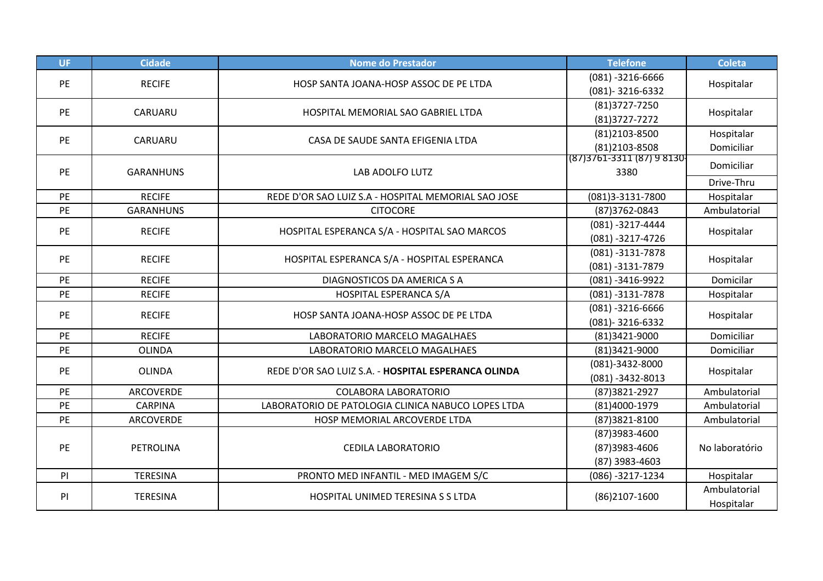| <b>UF</b> | <b>Cidade</b>    | <b>Nome do Prestador</b>                            | <b>Telefone</b>                                  | <b>Coleta</b>              |
|-----------|------------------|-----------------------------------------------------|--------------------------------------------------|----------------------------|
| PE        | <b>RECIFE</b>    | HOSP SANTA JOANA-HOSP ASSOC DE PE LTDA              | $(081) - 3216 - 6666$<br>$(081) - 3216 - 6332$   | Hospitalar                 |
| PE        | CARUARU          | HOSPITAL MEMORIAL SAO GABRIEL LTDA                  | (81) 3727-7250<br>(81) 3727-7272                 | Hospitalar                 |
| PE        | CARUARU          | CASA DE SAUDE SANTA EFIGENIA LTDA                   | (81)2103-8500<br>(81)2103-8508                   | Hospitalar<br>Domiciliar   |
| PE        | <b>GARANHUNS</b> | LAB ADOLFO LUTZ                                     | $(87)3761-3311(87)98130$<br>3380                 | Domiciliar                 |
|           |                  |                                                     |                                                  | Drive-Thru                 |
| PE        | <b>RECIFE</b>    | REDE D'OR SAO LUIZ S.A - HOSPITAL MEMORIAL SAO JOSE | (081)3-3131-7800                                 | Hospitalar                 |
| PE        | <b>GARANHUNS</b> | <b>CITOCORE</b>                                     | (87) 3762-0843                                   | Ambulatorial               |
| PE        | <b>RECIFE</b>    | HOSPITAL ESPERANCA S/A - HOSPITAL SAO MARCOS        | $(081) - 3217 - 4444$<br>$(081) - 3217 - 4726$   | Hospitalar                 |
| PE        | <b>RECIFE</b>    | HOSPITAL ESPERANCA S/A - HOSPITAL ESPERANCA         | $(081) - 3131 - 7878$<br>$(081) - 3131 - 7879$   | Hospitalar                 |
| PE        | <b>RECIFE</b>    | DIAGNOSTICOS DA AMERICA S A                         | $(081) - 3416 - 9922$                            | Domicilar                  |
| PE        | <b>RECIFE</b>    | HOSPITAL ESPERANCA S/A                              | $(081) - 3131 - 7878$                            | Hospitalar                 |
| <b>PE</b> | <b>RECIFE</b>    | HOSP SANTA JOANA-HOSP ASSOC DE PE LTDA              | $(081) - 3216 - 6666$<br>(081)-3216-6332         | Hospitalar                 |
| PE        | <b>RECIFE</b>    | LABORATORIO MARCELO MAGALHAES                       | (81)3421-9000                                    | Domiciliar                 |
| PE        | <b>OLINDA</b>    | LABORATORIO MARCELO MAGALHAES                       | (81)3421-9000                                    | Domiciliar                 |
| PE        | <b>OLINDA</b>    | REDE D'OR SAO LUIZ S.A. - HOSPITAL ESPERANCA OLINDA | (081)-3432-8000<br>$(081) - 3432 - 8013$         | Hospitalar                 |
| PE        | <b>ARCOVERDE</b> | <b>COLABORA LABORATORIO</b>                         | (87) 3821 - 2927                                 | Ambulatorial               |
| PE        | <b>CARPINA</b>   | LABORATORIO DE PATOLOGIA CLINICA NABUCO LOPES LTDA  | (81)4000-1979                                    | Ambulatorial               |
| PE        | ARCOVERDE        | HOSP MEMORIAL ARCOVERDE LTDA                        | (87)3821-8100                                    | Ambulatorial               |
| PE        | PETROLINA        | <b>CEDILA LABORATORIO</b>                           | (87)3983-4600<br>(87)3983-4606<br>(87) 3983-4603 | No laboratório             |
| PI        | <b>TERESINA</b>  | PRONTO MED INFANTIL - MED IMAGEM S/C                | (086) -3217-1234                                 | Hospitalar                 |
| PI        | <b>TERESINA</b>  | HOSPITAL UNIMED TERESINA S S LTDA                   | (86)2107-1600                                    | Ambulatorial<br>Hospitalar |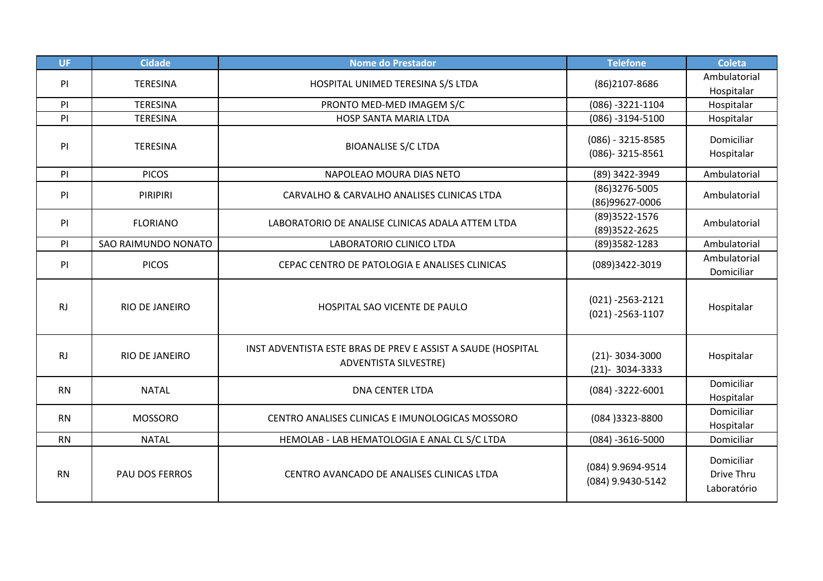| UF.       | <b>Cidade</b>         | <b>Nome do Prestador</b>                                                                     | <b>Telefone</b>                                | <b>Coleta</b>                           |
|-----------|-----------------------|----------------------------------------------------------------------------------------------|------------------------------------------------|-----------------------------------------|
| PI        | <b>TERESINA</b>       | HOSPITAL UNIMED TERESINA S/S LTDA                                                            | (86)2107-8686                                  | Ambulatorial<br>Hospitalar              |
| PI        | <b>TERESINA</b>       | PRONTO MED-MED IMAGEM S/C                                                                    | $(086) - 3221 - 1104$                          | Hospitalar                              |
| PI        | <b>TERESINA</b>       | HOSP SANTA MARIA LTDA                                                                        | $(086) - 3194 - 5100$                          | Hospitalar                              |
| PI        | <b>TERESINA</b>       | <b>BIOANALISE S/C LTDA</b>                                                                   | $(086) - 3215 - 8585$<br>(086)-3215-8561       | Domiciliar<br>Hospitalar                |
| PI        | <b>PICOS</b>          | NAPOLEAO MOURA DIAS NETO                                                                     | (89) 3422-3949                                 | Ambulatorial                            |
| PI        | PIRIPIRI              | CARVALHO & CARVALHO ANALISES CLINICAS LTDA                                                   | (86)3276-5005<br>(86)99627-0006                | Ambulatorial                            |
| PI        | <b>FLORIANO</b>       | LABORATORIO DE ANALISE CLINICAS ADALA ATTEM LTDA                                             | (89) 3522-1576<br>(89) 3522 - 2625             | Ambulatorial                            |
| PI        | SAO RAIMUNDO NONATO   | LABORATORIO CLINICO LTDA                                                                     | (89) 3582-1283                                 | Ambulatorial                            |
| PI        | <b>PICOS</b>          | CEPAC CENTRO DE PATOLOGIA E ANALISES CLINICAS                                                | (089)3422-3019                                 | Ambulatorial<br>Domiciliar              |
| <b>RJ</b> | <b>RIO DE JANEIRO</b> | HOSPITAL SAO VICENTE DE PAULO                                                                | $(021) - 2563 - 2121$<br>$(021) - 2563 - 1107$ | Hospitalar                              |
| <b>RJ</b> | RIO DE JANEIRO        | INST ADVENTISTA ESTE BRAS DE PREV E ASSIST A SAUDE (HOSPITAL<br><b>ADVENTISTA SILVESTRE)</b> | $(21) - 3034 - 3000$<br>$(21) - 3034 - 3333$   | Hospitalar                              |
| <b>RN</b> | <b>NATAL</b>          | <b>DNA CENTER LTDA</b>                                                                       | $(084) - 3222 - 6001$                          | Domiciliar<br>Hospitalar                |
| <b>RN</b> | <b>MOSSORO</b>        | CENTRO ANALISES CLINICAS E IMUNOLOGICAS MOSSORO                                              | (084) 3323-8800                                | Domiciliar<br>Hospitalar                |
| <b>RN</b> | <b>NATAL</b>          | HEMOLAB - LAB HEMATOLOGIA E ANAL CL S/C LTDA                                                 | $(084) - 3616 - 5000$                          | Domiciliar                              |
| <b>RN</b> | PAU DOS FERROS        | CENTRO AVANCADO DE ANALISES CLINICAS LTDA                                                    | (084) 9.9694-9514<br>(084) 9.9430-5142         | Domiciliar<br>Drive Thru<br>Laboratório |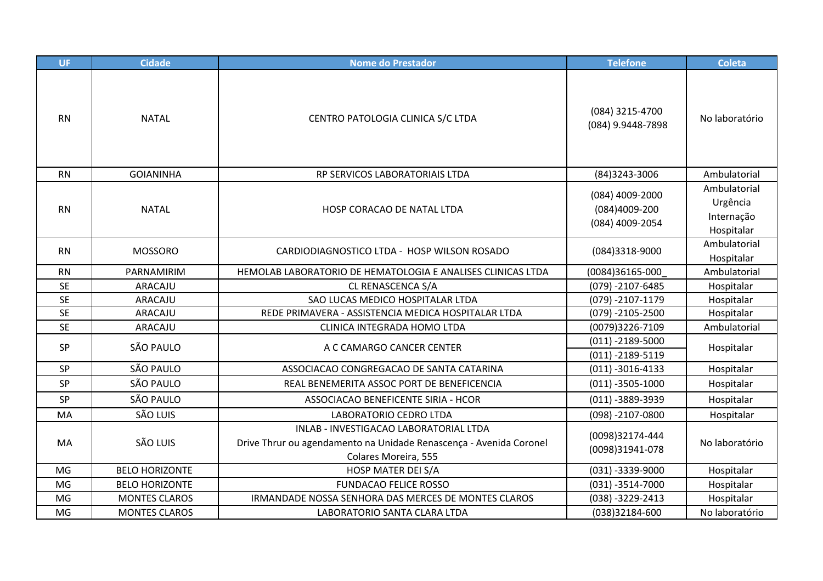| UF        | <b>Cidade</b>         | <b>Nome do Prestador</b>                                                                                                             | <b>Telefone</b>                                     | <b>Coleta</b>                                        |
|-----------|-----------------------|--------------------------------------------------------------------------------------------------------------------------------------|-----------------------------------------------------|------------------------------------------------------|
| <b>RN</b> | <b>NATAL</b>          | CENTRO PATOLOGIA CLINICA S/C LTDA                                                                                                    | (084) 3215-4700<br>(084) 9.9448-7898                | No laboratório                                       |
| <b>RN</b> | <b>GOIANINHA</b>      | RP SERVICOS LABORATORIAIS LTDA                                                                                                       | (84) 3243-3006                                      | Ambulatorial                                         |
| <b>RN</b> | <b>NATAL</b>          | HOSP CORACAO DE NATAL LTDA                                                                                                           | (084) 4009-2000<br>(084)4009-200<br>(084) 4009-2054 | Ambulatorial<br>Urgência<br>Internação<br>Hospitalar |
| <b>RN</b> | <b>MOSSORO</b>        | CARDIODIAGNOSTICO LTDA - HOSP WILSON ROSADO                                                                                          | (084)3318-9000                                      | Ambulatorial<br>Hospitalar                           |
| <b>RN</b> | PARNAMIRIM            | HEMOLAB LABORATORIO DE HEMATOLOGIA E ANALISES CLINICAS LTDA                                                                          | (0084)36165-000                                     | Ambulatorial                                         |
| <b>SE</b> | ARACAJU               | CL RENASCENCA S/A                                                                                                                    | $(079) - 2107 - 6485$                               | Hospitalar                                           |
| <b>SE</b> | ARACAJU               | SAO LUCAS MEDICO HOSPITALAR LTDA                                                                                                     | $(079) - 2107 - 1179$                               | Hospitalar                                           |
| <b>SE</b> | ARACAJU               | REDE PRIMAVERA - ASSISTENCIA MEDICA HOSPITALAR LTDA                                                                                  | $(079) - 2105 - 2500$                               | Hospitalar                                           |
| <b>SE</b> | ARACAJU               | CLINICA INTEGRADA HOMO LTDA                                                                                                          | (0079)3226-7109                                     | Ambulatorial                                         |
| SP        | SÃO PAULO             | A C CAMARGO CANCER CENTER                                                                                                            | $(011) - 2189 - 5000$<br>$(011) - 2189 - 5119$      | Hospitalar                                           |
| SP        | SÃO PAULO             | ASSOCIACAO CONGREGACAO DE SANTA CATARINA                                                                                             | $(011) - 3016 - 4133$                               | Hospitalar                                           |
| SP        | SÃO PAULO             | REAL BENEMERITA ASSOC PORT DE BENEFICENCIA                                                                                           | $(011) - 3505 - 1000$                               | Hospitalar                                           |
| SP        | SÃO PAULO             | ASSOCIACAO BENEFICENTE SIRIA - HCOR                                                                                                  | $(011) - 3889 - 3939$                               | Hospitalar                                           |
| MA        | SÃO LUIS              | LABORATORIO CEDRO LTDA                                                                                                               | $(098) - 2107 - 0800$                               | Hospitalar                                           |
| MA        | SÃO LUIS              | INLAB - INVESTIGACAO LABORATORIAL LTDA<br>Drive Thrur ou agendamento na Unidade Renascença - Avenida Coronel<br>Colares Moreira, 555 | (0098)32174-444<br>(0098)31941-078                  | No laboratório                                       |
| MG        | <b>BELO HORIZONTE</b> | HOSP MATER DEI S/A                                                                                                                   | $(031) - 3339 - 9000$                               | Hospitalar                                           |
| MG        | <b>BELO HORIZONTE</b> | <b>FUNDACAO FELICE ROSSO</b>                                                                                                         | $(031) - 3514 - 7000$                               | Hospitalar                                           |
| MG        | <b>MONTES CLAROS</b>  | IRMANDADE NOSSA SENHORA DAS MERCES DE MONTES CLAROS                                                                                  | (038) -3229-2413                                    | Hospitalar                                           |
| MG        | <b>MONTES CLAROS</b>  | LABORATORIO SANTA CLARA LTDA                                                                                                         | (038)32184-600                                      | No laboratório                                       |